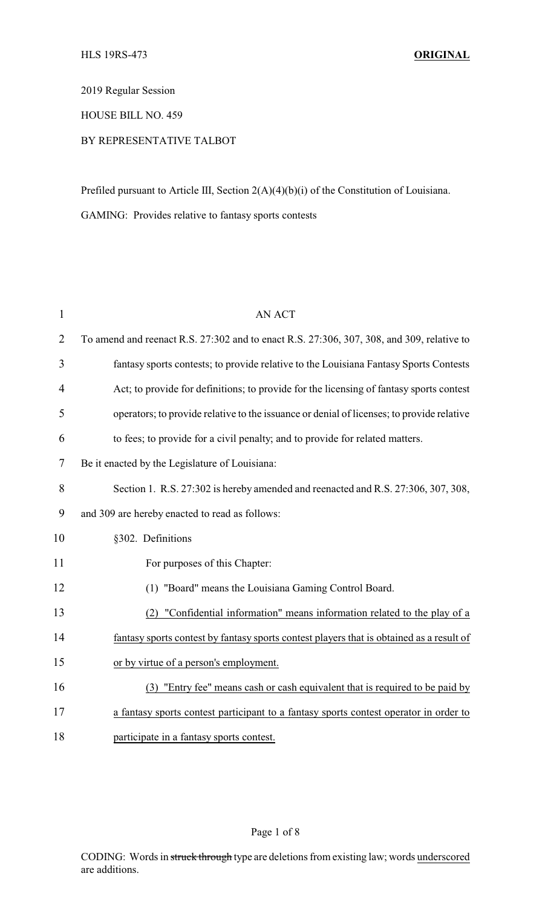2019 Regular Session

HOUSE BILL NO. 459

## BY REPRESENTATIVE TALBOT

Prefiled pursuant to Article III, Section 2(A)(4)(b)(i) of the Constitution of Louisiana.

GAMING: Provides relative to fantasy sports contests

| $\mathbf{1}$   | <b>AN ACT</b>                                                                             |
|----------------|-------------------------------------------------------------------------------------------|
| $\overline{2}$ | To amend and reenact R.S. 27:302 and to enact R.S. 27:306, 307, 308, and 309, relative to |
| 3              | fantasy sports contests; to provide relative to the Louisiana Fantasy Sports Contests     |
| $\overline{4}$ | Act; to provide for definitions; to provide for the licensing of fantasy sports contest   |
| 5              | operators; to provide relative to the issuance or denial of licenses; to provide relative |
| 6              | to fees; to provide for a civil penalty; and to provide for related matters.              |
| 7              | Be it enacted by the Legislature of Louisiana:                                            |
| 8              | Section 1. R.S. 27:302 is hereby amended and reenacted and R.S. 27:306, 307, 308,         |
| 9              | and 309 are hereby enacted to read as follows:                                            |
| 10             | §302. Definitions                                                                         |
| 11             | For purposes of this Chapter:                                                             |
| 12             | (1) "Board" means the Louisiana Gaming Control Board.                                     |
| 13             | "Confidential information" means information related to the play of a<br>(2)              |
| 14             | fantasy sports contest by fantasy sports contest players that is obtained as a result of  |
| 15             | or by virtue of a person's employment.                                                    |
| 16             | (3) "Entry fee" means cash or cash equivalent that is required to be paid by              |
| 17             | a fantasy sports contest participant to a fantasy sports contest operator in order to     |
| 18             | participate in a fantasy sports contest.                                                  |

### Page 1 of 8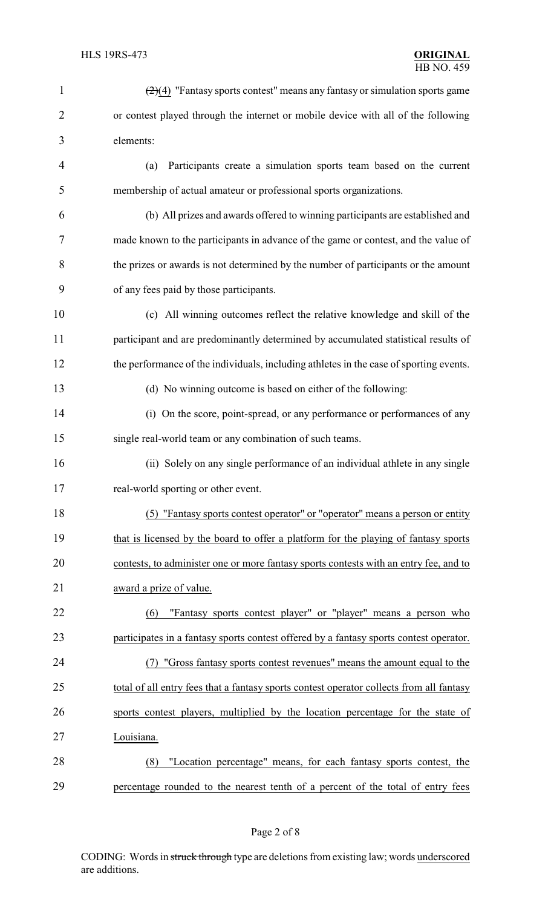| $\mathbf{1}$   | $\left(\frac{2}{4}\right)$ "Fantasy sports contest" means any fantasy or simulation sports game |
|----------------|-------------------------------------------------------------------------------------------------|
| $\overline{2}$ | or contest played through the internet or mobile device with all of the following               |
| 3              | elements:                                                                                       |
| 4              | Participants create a simulation sports team based on the current<br>(a)                        |
| 5              | membership of actual amateur or professional sports organizations.                              |
| 6              | (b) All prizes and awards offered to winning participants are established and                   |
| 7              | made known to the participants in advance of the game or contest, and the value of              |
| 8              | the prizes or awards is not determined by the number of participants or the amount              |
| 9              | of any fees paid by those participants.                                                         |
| 10             | (c) All winning outcomes reflect the relative knowledge and skill of the                        |
| 11             | participant and are predominantly determined by accumulated statistical results of              |
| 12             | the performance of the individuals, including athletes in the case of sporting events.          |
| 13             | (d) No winning outcome is based on either of the following:                                     |
| 14             | (i) On the score, point-spread, or any performance or performances of any                       |
| 15             | single real-world team or any combination of such teams.                                        |
| 16             | (ii) Solely on any single performance of an individual athlete in any single                    |
| 17             | real-world sporting or other event.                                                             |
| 18             | (5) "Fantasy sports contest operator" or "operator" means a person or entity                    |
| 19             | that is licensed by the board to offer a platform for the playing of fantasy sports             |
| 20             | contests, to administer one or more fantasy sports contests with an entry fee, and to           |
| 21             | award a prize of value.                                                                         |
| 22             | "Fantasy sports contest player" or "player" means a person who<br>(6)                           |
| 23             | participates in a fantasy sports contest offered by a fantasy sports contest operator.          |
| 24             | (7) "Gross fantasy sports contest revenues" means the amount equal to the                       |
| 25             | total of all entry fees that a fantasy sports contest operator collects from all fantasy        |
| 26             | sports contest players, multiplied by the location percentage for the state of                  |
| 27             | Louisiana.                                                                                      |
| 28             | "Location percentage" means, for each fantasy sports contest, the<br>(8)                        |
| 29             | percentage rounded to the nearest tenth of a percent of the total of entry fees                 |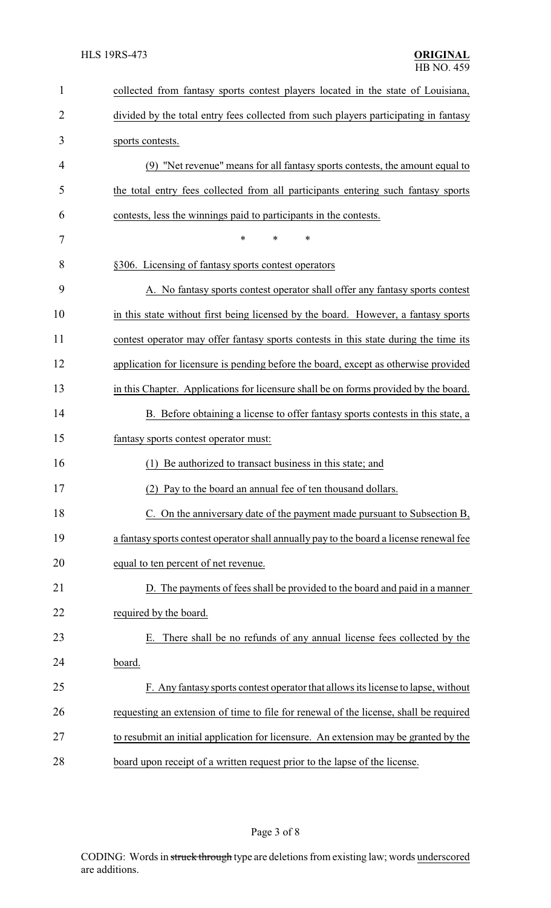| $\mathbf{1}$   | collected from fantasy sports contest players located in the state of Louisiana,        |
|----------------|-----------------------------------------------------------------------------------------|
| $\overline{2}$ | divided by the total entry fees collected from such players participating in fantasy    |
| 3              | sports contests.                                                                        |
| 4              | (9) "Net revenue" means for all fantasy sports contests, the amount equal to            |
| 5              | the total entry fees collected from all participants entering such fantasy sports       |
| 6              | contests, less the winnings paid to participants in the contests.                       |
| 7              | $\ast$<br>*<br>$\ast$                                                                   |
| 8              | §306. Licensing of fantasy sports contest operators                                     |
| 9              | A. No fantasy sports contest operator shall offer any fantasy sports contest            |
| 10             | in this state without first being licensed by the board. However, a fantasy sports      |
| 11             | contest operator may offer fantasy sports contests in this state during the time its    |
| 12             | application for licensure is pending before the board, except as otherwise provided     |
| 13             | in this Chapter. Applications for licensure shall be on forms provided by the board.    |
| 14             | B. Before obtaining a license to offer fantasy sports contests in this state, a         |
| 15             | fantasy sports contest operator must:                                                   |
| 16             | Be authorized to transact business in this state; and<br>(1)                            |
| 17             | (2) Pay to the board an annual fee of ten thousand dollars                              |
| 18             | C. On the anniversary date of the payment made pursuant to Subsection B,                |
| 19             | a fantasy sports contest operator shall annually pay to the board a license renewal fee |
| 20             | equal to ten percent of net revenue.                                                    |
| 21             | D. The payments of fees shall be provided to the board and paid in a manner             |
| 22             | required by the board.                                                                  |
| 23             | There shall be no refunds of any annual license fees collected by the<br>Е.             |
| 24             | board.                                                                                  |
| 25             | F. Any fantasy sports contest operator that allows its license to lapse, without        |
| 26             | requesting an extension of time to file for renewal of the license, shall be required   |
| 27             | to resubmit an initial application for licensure. An extension may be granted by the    |
| 28             | board upon receipt of a written request prior to the lapse of the license.              |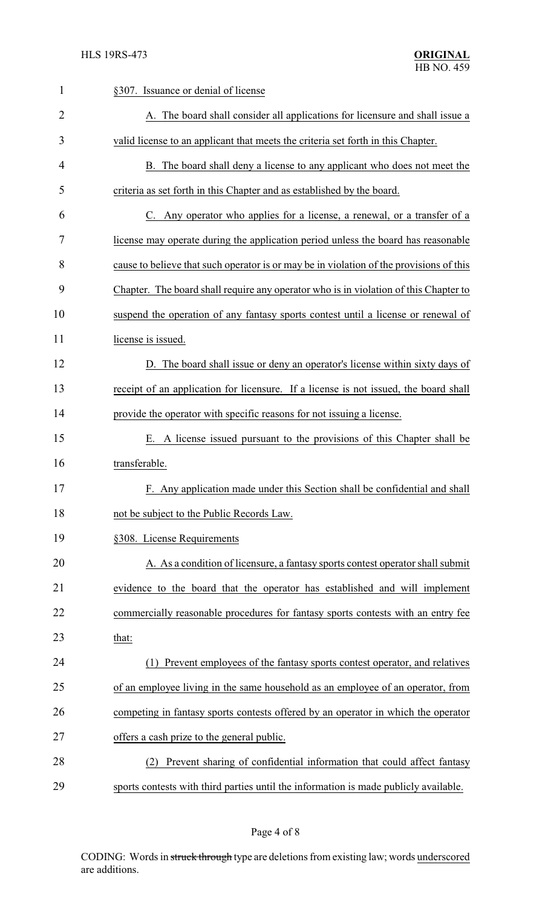| $\mathbf{1}$   | §307. Issuance or denial of license                                                     |
|----------------|-----------------------------------------------------------------------------------------|
| $\overline{2}$ | A. The board shall consider all applications for licensure and shall issue a            |
| 3              | valid license to an applicant that meets the criteria set forth in this Chapter.        |
| 4              | B. The board shall deny a license to any applicant who does not meet the                |
| 5              | criteria as set forth in this Chapter and as established by the board.                  |
| 6              | C. Any operator who applies for a license, a renewal, or a transfer of a                |
| 7              | license may operate during the application period unless the board has reasonable       |
| 8              | cause to believe that such operator is or may be in violation of the provisions of this |
| 9              | Chapter. The board shall require any operator who is in violation of this Chapter to    |
| 10             | suspend the operation of any fantasy sports contest until a license or renewal of       |
| 11             | license is issued.                                                                      |
| 12             | D. The board shall issue or deny an operator's license within sixty days of             |
| 13             | receipt of an application for licensure. If a license is not issued, the board shall    |
| 14             | provide the operator with specific reasons for not issuing a license.                   |
| 15             | E. A license issued pursuant to the provisions of this Chapter shall be                 |
| 16             | transferable.                                                                           |
| 17             | F. Any application made under this Section shall be confidential and shall              |
| 18             | not be subject to the Public Records Law.                                               |
| 19             | §308. License Requirements                                                              |
| 20             | A. As a condition of licensure, a fantasy sports contest operator shall submit          |
| 21             | evidence to the board that the operator has established and will implement              |
| 22             | commercially reasonable procedures for fantasy sports contests with an entry fee        |
| 23             | that:                                                                                   |
| 24             | Prevent employees of the fantasy sports contest operator, and relatives                 |
| 25             | of an employee living in the same household as an employee of an operator, from         |
| 26             | competing in fantasy sports contests offered by an operator in which the operator       |
| 27             | offers a cash prize to the general public.                                              |
| 28             | Prevent sharing of confidential information that could affect fantasy<br>(2)            |
| 29             | sports contests with third parties until the information is made publicly available.    |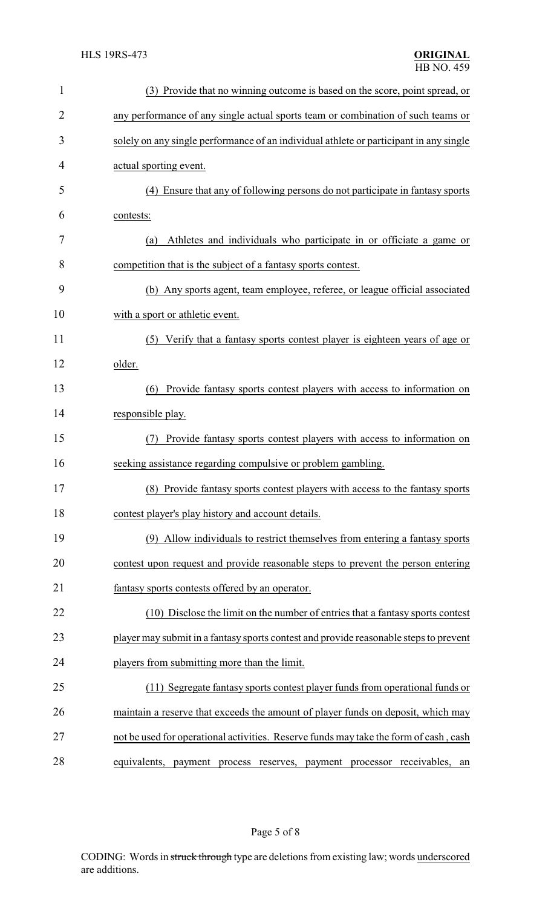| 1              | (3) Provide that no winning outcome is based on the score, point spread, or            |
|----------------|----------------------------------------------------------------------------------------|
| $\overline{2}$ | any performance of any single actual sports team or combination of such teams or       |
| 3              | solely on any single performance of an individual athlete or participant in any single |
| 4              | actual sporting event.                                                                 |
| 5              | (4) Ensure that any of following persons do not participate in fantasy sports          |
| 6              | contests:                                                                              |
| 7              | Athletes and individuals who participate in or officiate a game or<br>(a)              |
| 8              | competition that is the subject of a fantasy sports contest.                           |
| 9              | (b) Any sports agent, team employee, referee, or league official associated            |
| 10             | with a sport or athletic event.                                                        |
| 11             | (5) Verify that a fantasy sports contest player is eighteen years of age or            |
| 12             | older.                                                                                 |
| 13             | Provide fantasy sports contest players with access to information on<br>(6)            |
| 14             | responsible play.                                                                      |
| 15             | Provide fantasy sports contest players with access to information on                   |
| 16             | seeking assistance regarding compulsive or problem gambling.                           |
| 17             | (8) Provide fantasy sports contest players with access to the fantasy sports           |
| 18             | contest player's play history and account details.                                     |
| 19             | (9) Allow individuals to restrict themselves from entering a fantasy sports            |
| 20             | contest upon request and provide reasonable steps to prevent the person entering       |
| 21             | fantasy sports contests offered by an operator.                                        |
| 22             | (10) Disclose the limit on the number of entries that a fantasy sports contest         |
| 23             | player may submit in a fantasy sports contest and provide reasonable steps to prevent  |
| 24             | players from submitting more than the limit.                                           |
| 25             | (11) Segregate fantasy sports contest player funds from operational funds or           |
| 26             | maintain a reserve that exceeds the amount of player funds on deposit, which may       |
| 27             | not be used for operational activities. Reserve funds may take the form of cash, cash  |
| 28             | equivalents, payment process reserves, payment processor receivables, an               |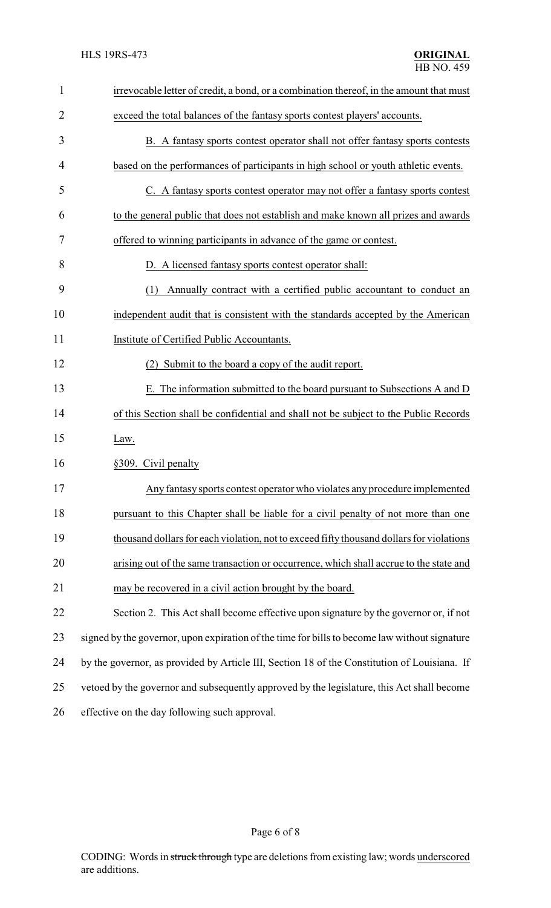| $\mathbf{1}$ | irrevocable letter of credit, a bond, or a combination thereof, in the amount that must       |
|--------------|-----------------------------------------------------------------------------------------------|
| 2            | exceed the total balances of the fantasy sports contest players' accounts.                    |
| 3            | B. A fantasy sports contest operator shall not offer fantasy sports contests                  |
| 4            | based on the performances of participants in high school or youth athletic events.            |
| 5            | C. A fantasy sports contest operator may not offer a fantasy sports contest                   |
| 6            | to the general public that does not establish and make known all prizes and awards            |
| 7            | offered to winning participants in advance of the game or contest.                            |
| 8            | D. A licensed fantasy sports contest operator shall:                                          |
| 9            | Annually contract with a certified public accountant to conduct an<br>(1)                     |
| 10           | independent audit that is consistent with the standards accepted by the American              |
| 11           | Institute of Certified Public Accountants.                                                    |
| 12           | (2) Submit to the board a copy of the audit report.                                           |
| 13           | E. The information submitted to the board pursuant to Subsections A and D                     |
| 14           | of this Section shall be confidential and shall not be subject to the Public Records          |
| 15           | Law.                                                                                          |
| 16           | §309. Civil penalty                                                                           |
| 17           | Any fantasy sports contest operator who violates any procedure implemented                    |
| 18           | pursuant to this Chapter shall be liable for a civil penalty of not more than one             |
| 19           | thousand dollars for each violation, not to exceed fifty thousand dollars for violations      |
| 20           | arising out of the same transaction or occurrence, which shall accrue to the state and        |
| 21           | may be recovered in a civil action brought by the board.                                      |
| 22           | Section 2. This Act shall become effective upon signature by the governor or, if not          |
| 23           | signed by the governor, upon expiration of the time for bills to become law without signature |
| 24           | by the governor, as provided by Article III, Section 18 of the Constitution of Louisiana. If  |
| 25           | vetoed by the governor and subsequently approved by the legislature, this Act shall become    |
| 26           | effective on the day following such approval.                                                 |

# Page 6 of 8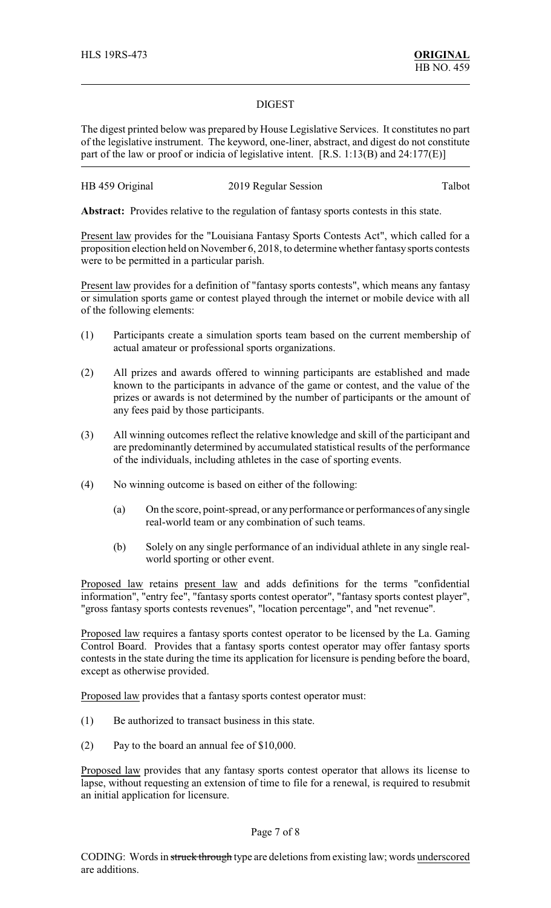#### DIGEST

The digest printed below was prepared by House Legislative Services. It constitutes no part of the legislative instrument. The keyword, one-liner, abstract, and digest do not constitute part of the law or proof or indicia of legislative intent. [R.S. 1:13(B) and 24:177(E)]

# HB 459 Original 2019 Regular Session Talbot

**Abstract:** Provides relative to the regulation of fantasy sports contests in this state.

Present law provides for the "Louisiana Fantasy Sports Contests Act", which called for a proposition election held on November 6, 2018, to determine whether fantasysports contests were to be permitted in a particular parish.

Present law provides for a definition of "fantasy sports contests", which means any fantasy or simulation sports game or contest played through the internet or mobile device with all of the following elements:

- (1) Participants create a simulation sports team based on the current membership of actual amateur or professional sports organizations.
- (2) All prizes and awards offered to winning participants are established and made known to the participants in advance of the game or contest, and the value of the prizes or awards is not determined by the number of participants or the amount of any fees paid by those participants.
- (3) All winning outcomes reflect the relative knowledge and skill of the participant and are predominantly determined by accumulated statistical results of the performance of the individuals, including athletes in the case of sporting events.
- (4) No winning outcome is based on either of the following:
	- (a) On the score, point-spread, or any performance or performances of any single real-world team or any combination of such teams.
	- (b) Solely on any single performance of an individual athlete in any single realworld sporting or other event.

Proposed law retains present law and adds definitions for the terms "confidential information", "entry fee", "fantasy sports contest operator", "fantasy sports contest player", "gross fantasy sports contests revenues", "location percentage", and "net revenue".

Proposed law requires a fantasy sports contest operator to be licensed by the La. Gaming Control Board. Provides that a fantasy sports contest operator may offer fantasy sports contests in the state during the time its application for licensure is pending before the board, except as otherwise provided.

Proposed law provides that a fantasy sports contest operator must:

- (1) Be authorized to transact business in this state.
- (2) Pay to the board an annual fee of \$10,000.

Proposed law provides that any fantasy sports contest operator that allows its license to lapse, without requesting an extension of time to file for a renewal, is required to resubmit an initial application for licensure.

#### Page 7 of 8